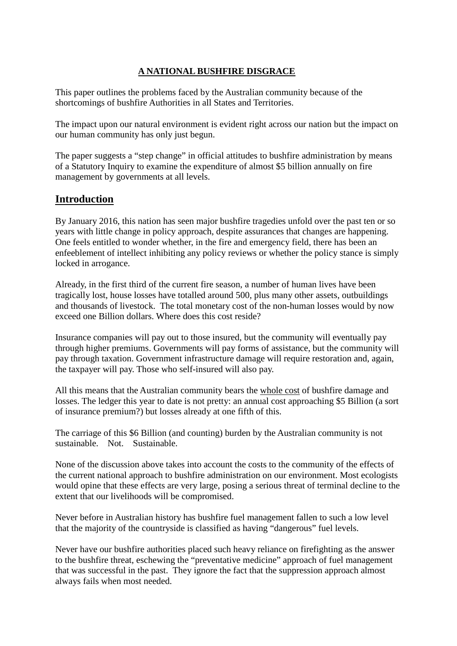#### **A NATIONAL BUSHFIRE DISGRACE**

This paper outlines the problems faced by the Australian community because of the shortcomings of bushfire Authorities in all States and Territories.

The impact upon our natural environment is evident right across our nation but the impact on our human community has only just begun.

The paper suggests a "step change" in official attitudes to bushfire administration by means of a Statutory Inquiry to examine the expenditure of almost \$5 billion annually on fire management by governments at all levels.

#### **Introduction**

By January 2016, this nation has seen major bushfire tragedies unfold over the past ten or so years with little change in policy approach, despite assurances that changes are happening. One feels entitled to wonder whether, in the fire and emergency field, there has been an enfeeblement of intellect inhibiting any policy reviews or whether the policy stance is simply locked in arrogance.

Already, in the first third of the current fire season, a number of human lives have been tragically lost, house losses have totalled around 500, plus many other assets, outbuildings and thousands of livestock. The total monetary cost of the non-human losses would by now exceed one Billion dollars. Where does this cost reside?

Insurance companies will pay out to those insured, but the community will eventually pay through higher premiums. Governments will pay forms of assistance, but the community will pay through taxation. Government infrastructure damage will require restoration and, again, the taxpayer will pay. Those who self-insured will also pay.

All this means that the Australian community bears the whole cost of bushfire damage and losses. The ledger this year to date is not pretty: an annual cost approaching \$5 Billion (a sort of insurance premium?) but losses already at one fifth of this.

The carriage of this \$6 Billion (and counting) burden by the Australian community is not sustainable. Not. Sustainable.

None of the discussion above takes into account the costs to the community of the effects of the current national approach to bushfire administration on our environment. Most ecologists would opine that these effects are very large, posing a serious threat of terminal decline to the extent that our livelihoods will be compromised.

Never before in Australian history has bushfire fuel management fallen to such a low level that the majority of the countryside is classified as having "dangerous" fuel levels.

Never have our bushfire authorities placed such heavy reliance on firefighting as the answer to the bushfire threat, eschewing the "preventative medicine" approach of fuel management that was successful in the past. They ignore the fact that the suppression approach almost always fails when most needed.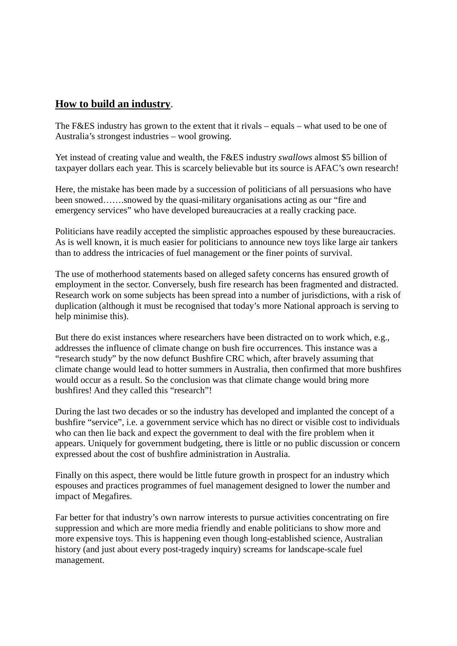## **How to build an industry**.

The F&ES industry has grown to the extent that it rivals – equals – what used to be one of Australia's strongest industries – wool growing.

Yet instead of creating value and wealth, the F&ES industry *swallows* almost \$5 billion of taxpayer dollars each year. This is scarcely believable but its source is AFAC's own research!

Here, the mistake has been made by a succession of politicians of all persuasions who have been snowed…….snowed by the quasi-military organisations acting as our "fire and emergency services" who have developed bureaucracies at a really cracking pace.

Politicians have readily accepted the simplistic approaches espoused by these bureaucracies. As is well known, it is much easier for politicians to announce new toys like large air tankers than to address the intricacies of fuel management or the finer points of survival.

The use of motherhood statements based on alleged safety concerns has ensured growth of employment in the sector. Conversely, bush fire research has been fragmented and distracted. Research work on some subjects has been spread into a number of jurisdictions, with a risk of duplication (although it must be recognised that today's more National approach is serving to help minimise this).

But there do exist instances where researchers have been distracted on to work which, e.g., addresses the influence of climate change on bush fire occurrences. This instance was a "research study" by the now defunct Bushfire CRC which, after bravely assuming that climate change would lead to hotter summers in Australia, then confirmed that more bushfires would occur as a result. So the conclusion was that climate change would bring more bushfires! And they called this "research"!

During the last two decades or so the industry has developed and implanted the concept of a bushfire "service", i.e. a government service which has no direct or visible cost to individuals who can then lie back and expect the government to deal with the fire problem when it appears. Uniquely for government budgeting, there is little or no public discussion or concern expressed about the cost of bushfire administration in Australia.

Finally on this aspect, there would be little future growth in prospect for an industry which espouses and practices programmes of fuel management designed to lower the number and impact of Megafires.

Far better for that industry's own narrow interests to pursue activities concentrating on fire suppression and which are more media friendly and enable politicians to show more and more expensive toys. This is happening even though long-established science, Australian history (and just about every post-tragedy inquiry) screams for landscape-scale fuel management.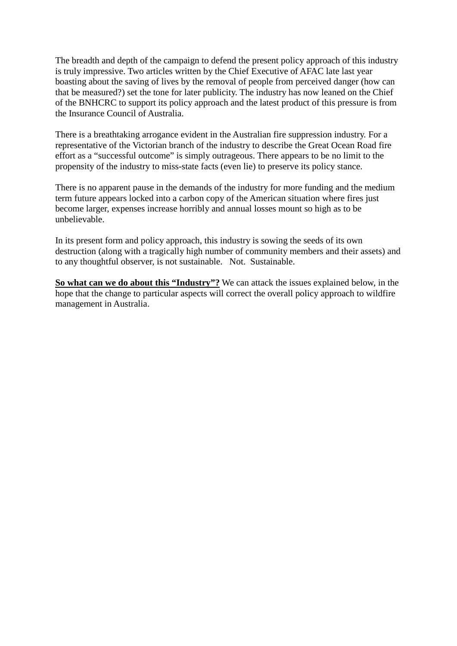The breadth and depth of the campaign to defend the present policy approach of this industry is truly impressive. Two articles written by the Chief Executive of AFAC late last year boasting about the saving of lives by the removal of people from perceived danger (how can that be measured?) set the tone for later publicity. The industry has now leaned on the Chief of the BNHCRC to support its policy approach and the latest product of this pressure is from the Insurance Council of Australia.

There is a breathtaking arrogance evident in the Australian fire suppression industry. For a representative of the Victorian branch of the industry to describe the Great Ocean Road fire effort as a "successful outcome" is simply outrageous. There appears to be no limit to the propensity of the industry to miss-state facts (even lie) to preserve its policy stance.

There is no apparent pause in the demands of the industry for more funding and the medium term future appears locked into a carbon copy of the American situation where fires just become larger, expenses increase horribly and annual losses mount so high as to be unbelievable.

In its present form and policy approach, this industry is sowing the seeds of its own destruction (along with a tragically high number of community members and their assets) and to any thoughtful observer, is not sustainable. Not. Sustainable.

**So what can we do about this "Industry"?** We can attack the issues explained below, in the hope that the change to particular aspects will correct the overall policy approach to wildfire management in Australia.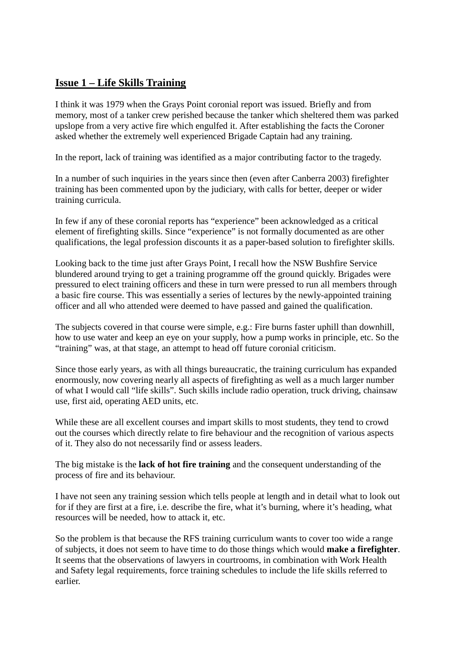# **Issue 1 – Life Skills Training**

I think it was 1979 when the Grays Point coronial report was issued. Briefly and from memory, most of a tanker crew perished because the tanker which sheltered them was parked upslope from a very active fire which engulfed it. After establishing the facts the Coroner asked whether the extremely well experienced Brigade Captain had any training.

In the report, lack of training was identified as a major contributing factor to the tragedy.

In a number of such inquiries in the years since then (even after Canberra 2003) firefighter training has been commented upon by the judiciary, with calls for better, deeper or wider training curricula.

In few if any of these coronial reports has "experience" been acknowledged as a critical element of firefighting skills. Since "experience" is not formally documented as are other qualifications, the legal profession discounts it as a paper-based solution to firefighter skills.

Looking back to the time just after Grays Point, I recall how the NSW Bushfire Service blundered around trying to get a training programme off the ground quickly. Brigades were pressured to elect training officers and these in turn were pressed to run all members through a basic fire course. This was essentially a series of lectures by the newly-appointed training officer and all who attended were deemed to have passed and gained the qualification.

The subjects covered in that course were simple, e.g.: Fire burns faster uphill than downhill, how to use water and keep an eye on your supply, how a pump works in principle, etc. So the "training" was, at that stage, an attempt to head off future coronial criticism.

Since those early years, as with all things bureaucratic, the training curriculum has expanded enormously, now covering nearly all aspects of firefighting as well as a much larger number of what I would call "life skills". Such skills include radio operation, truck driving, chainsaw use, first aid, operating AED units, etc.

While these are all excellent courses and impart skills to most students, they tend to crowd out the courses which directly relate to fire behaviour and the recognition of various aspects of it. They also do not necessarily find or assess leaders.

The big mistake is the **lack of hot fire training** and the consequent understanding of the process of fire and its behaviour.

I have not seen any training session which tells people at length and in detail what to look out for if they are first at a fire, i.e. describe the fire, what it's burning, where it's heading, what resources will be needed, how to attack it, etc.

So the problem is that because the RFS training curriculum wants to cover too wide a range of subjects, it does not seem to have time to do those things which would **make a firefighter**. It seems that the observations of lawyers in courtrooms, in combination with Work Health and Safety legal requirements, force training schedules to include the life skills referred to earlier.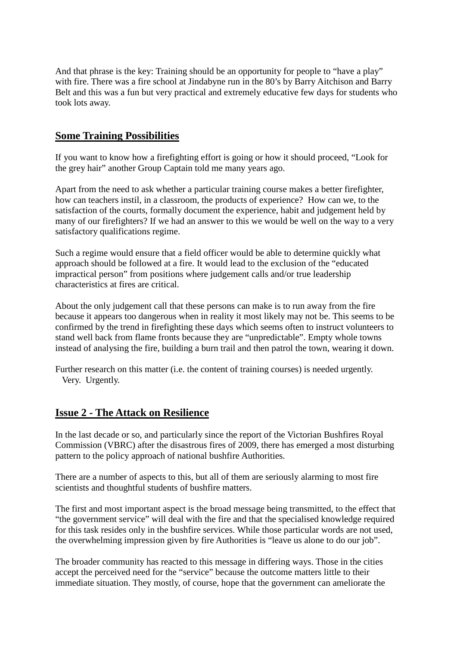And that phrase is the key: Training should be an opportunity for people to "have a play" with fire. There was a fire school at Jindabyne run in the 80's by Barry Aitchison and Barry Belt and this was a fun but very practical and extremely educative few days for students who took lots away.

#### **Some Training Possibilities**

If you want to know how a firefighting effort is going or how it should proceed, "Look for the grey hair" another Group Captain told me many years ago.

Apart from the need to ask whether a particular training course makes a better firefighter, how can teachers instil, in a classroom, the products of experience? How can we, to the satisfaction of the courts, formally document the experience, habit and judgement held by many of our firefighters? If we had an answer to this we would be well on the way to a very satisfactory qualifications regime.

Such a regime would ensure that a field officer would be able to determine quickly what approach should be followed at a fire. It would lead to the exclusion of the "educated impractical person" from positions where judgement calls and/or true leadership characteristics at fires are critical.

About the only judgement call that these persons can make is to run away from the fire because it appears too dangerous when in reality it most likely may not be. This seems to be confirmed by the trend in firefighting these days which seems often to instruct volunteers to stand well back from flame fronts because they are "unpredictable". Empty whole towns instead of analysing the fire, building a burn trail and then patrol the town, wearing it down.

Further research on this matter (i.e. the content of training courses) is needed urgently. Very. Urgently.

## **Issue 2 - The Attack on Resilience**

In the last decade or so, and particularly since the report of the Victorian Bushfires Royal Commission (VBRC) after the disastrous fires of 2009, there has emerged a most disturbing pattern to the policy approach of national bushfire Authorities.

There are a number of aspects to this, but all of them are seriously alarming to most fire scientists and thoughtful students of bushfire matters.

The first and most important aspect is the broad message being transmitted, to the effect that "the government service" will deal with the fire and that the specialised knowledge required for this task resides only in the bushfire services. While those particular words are not used, the overwhelming impression given by fire Authorities is "leave us alone to do our job".

The broader community has reacted to this message in differing ways. Those in the cities accept the perceived need for the "service" because the outcome matters little to their immediate situation. They mostly, of course, hope that the government can ameliorate the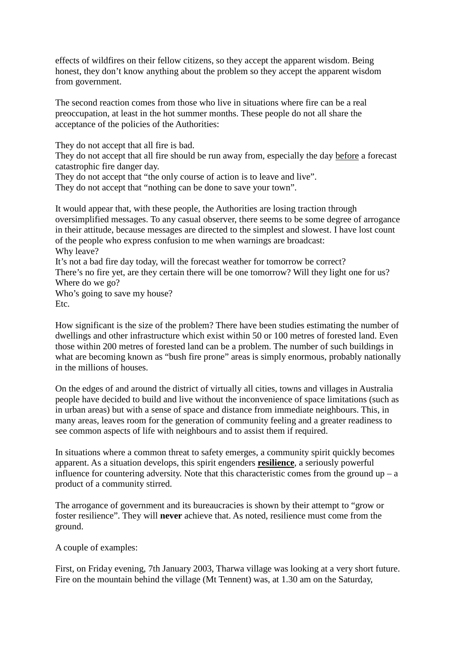effects of wildfires on their fellow citizens, so they accept the apparent wisdom. Being honest, they don't know anything about the problem so they accept the apparent wisdom from government.

The second reaction comes from those who live in situations where fire can be a real preoccupation, at least in the hot summer months. These people do not all share the acceptance of the policies of the Authorities:

They do not accept that all fire is bad.

They do not accept that all fire should be run away from, especially the day before a forecast catastrophic fire danger day.

They do not accept that "the only course of action is to leave and live".

They do not accept that "nothing can be done to save your town".

It would appear that, with these people, the Authorities are losing traction through oversimplified messages. To any casual observer, there seems to be some degree of arrogance in their attitude, because messages are directed to the simplest and slowest. I have lost count of the people who express confusion to me when warnings are broadcast: Why leave? It's not a bad fire day today, will the forecast weather for tomorrow be correct?

There's no fire yet, are they certain there will be one tomorrow? Will they light one for us? Where do we go?

Who's going to save my house? Etc.

How significant is the size of the problem? There have been studies estimating the number of dwellings and other infrastructure which exist within 50 or 100 metres of forested land. Even those within 200 metres of forested land can be a problem. The number of such buildings in what are becoming known as "bush fire prone" areas is simply enormous, probably nationally in the millions of houses.

On the edges of and around the district of virtually all cities, towns and villages in Australia people have decided to build and live without the inconvenience of space limitations (such as in urban areas) but with a sense of space and distance from immediate neighbours. This, in many areas, leaves room for the generation of community feeling and a greater readiness to see common aspects of life with neighbours and to assist them if required.

In situations where a common threat to safety emerges, a community spirit quickly becomes apparent. As a situation develops, this spirit engenders **resilience**, a seriously powerful influence for countering adversity. Note that this characteristic comes from the ground  $up - a$ product of a community stirred.

The arrogance of government and its bureaucracies is shown by their attempt to "grow or foster resilience". They will **never** achieve that. As noted, resilience must come from the ground.

A couple of examples:

First, on Friday evening, 7th January 2003, Tharwa village was looking at a very short future. Fire on the mountain behind the village (Mt Tennent) was, at 1.30 am on the Saturday,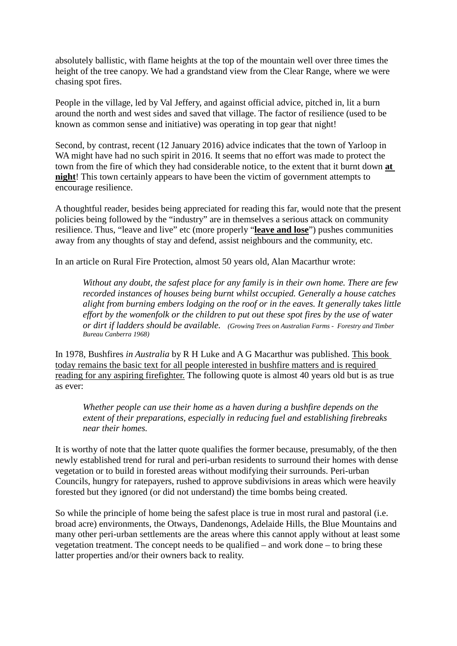absolutely ballistic, with flame heights at the top of the mountain well over three times the height of the tree canopy. We had a grandstand view from the Clear Range, where we were chasing spot fires.

People in the village, led by Val Jeffery, and against official advice, pitched in, lit a burn around the north and west sides and saved that village. The factor of resilience (used to be known as common sense and initiative) was operating in top gear that night!

Second, by contrast, recent (12 January 2016) advice indicates that the town of Yarloop in WA might have had no such spirit in 2016. It seems that no effort was made to protect the town from the fire of which they had considerable notice, to the extent that it burnt down **at night**! This town certainly appears to have been the victim of government attempts to encourage resilience.

A thoughtful reader, besides being appreciated for reading this far, would note that the present policies being followed by the "industry" are in themselves a serious attack on community resilience. Thus, "leave and live" etc (more properly "**leave and lose**") pushes communities away from any thoughts of stay and defend, assist neighbours and the community, etc.

In an article on Rural Fire Protection, almost 50 years old, Alan Macarthur wrote:

*Without any doubt, the safest place for any family is in their own home. There are few recorded instances of houses being burnt whilst occupied. Generally a house catches alight from burning embers lodging on the roof or in the eaves. It generally takes little effort by the womenfolk or the children to put out these spot fires by the use of water or dirt if ladders should be available. (Growing Trees on Australian Farms - Forestry and Timber Bureau Canberra 1968)*

In 1978, Bushfires *in Australia* by R H Luke and A G Macarthur was published. This book today remains the basic text for all people interested in bushfire matters and is required reading for any aspiring firefighter. The following quote is almost 40 years old but is as true as ever:

*Whether people can use their home as a haven during a bushfire depends on the extent of their preparations, especially in reducing fuel and establishing firebreaks near their homes.*

It is worthy of note that the latter quote qualifies the former because, presumably, of the then newly established trend for rural and peri-urban residents to surround their homes with dense vegetation or to build in forested areas without modifying their surrounds. Peri-urban Councils, hungry for ratepayers, rushed to approve subdivisions in areas which were heavily forested but they ignored (or did not understand) the time bombs being created.

So while the principle of home being the safest place is true in most rural and pastoral (i.e. broad acre) environments, the Otways, Dandenongs, Adelaide Hills, the Blue Mountains and many other peri-urban settlements are the areas where this cannot apply without at least some vegetation treatment. The concept needs to be qualified – and work done – to bring these latter properties and/or their owners back to reality.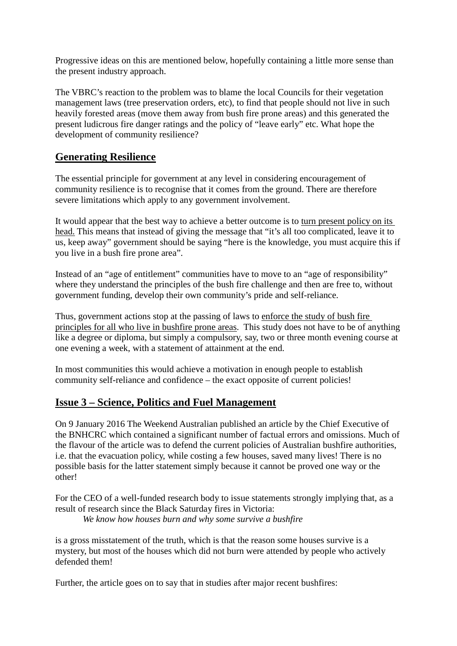Progressive ideas on this are mentioned below, hopefully containing a little more sense than the present industry approach.

The VBRC's reaction to the problem was to blame the local Councils for their vegetation management laws (tree preservation orders, etc), to find that people should not live in such heavily forested areas (move them away from bush fire prone areas) and this generated the present ludicrous fire danger ratings and the policy of "leave early" etc. What hope the development of community resilience?

# **Generating Resilience**

The essential principle for government at any level in considering encouragement of community resilience is to recognise that it comes from the ground. There are therefore severe limitations which apply to any government involvement.

It would appear that the best way to achieve a better outcome is to turn present policy on its head. This means that instead of giving the message that "it's all too complicated, leave it to us, keep away" government should be saying "here is the knowledge, you must acquire this if you live in a bush fire prone area".

Instead of an "age of entitlement" communities have to move to an "age of responsibility" where they understand the principles of the bush fire challenge and then are free to, without government funding, develop their own community's pride and self-reliance.

Thus, government actions stop at the passing of laws to enforce the study of bush fire principles for all who live in bushfire prone areas. This study does not have to be of anything like a degree or diploma, but simply a compulsory, say, two or three month evening course at one evening a week, with a statement of attainment at the end.

In most communities this would achieve a motivation in enough people to establish community self-reliance and confidence – the exact opposite of current policies!

## **Issue 3 – Science, Politics and Fuel Management**

On 9 January 2016 The Weekend Australian published an article by the Chief Executive of the BNHCRC which contained a significant number of factual errors and omissions. Much of the flavour of the article was to defend the current policies of Australian bushfire authorities, i.e. that the evacuation policy, while costing a few houses, saved many lives! There is no possible basis for the latter statement simply because it cannot be proved one way or the other!

For the CEO of a well-funded research body to issue statements strongly implying that, as a result of research since the Black Saturday fires in Victoria: *We know how houses burn and why some survive a bushfire*

is a gross misstatement of the truth, which is that the reason some houses survive is a mystery, but most of the houses which did not burn were attended by people who actively defended them!

Further, the article goes on to say that in studies after major recent bushfires: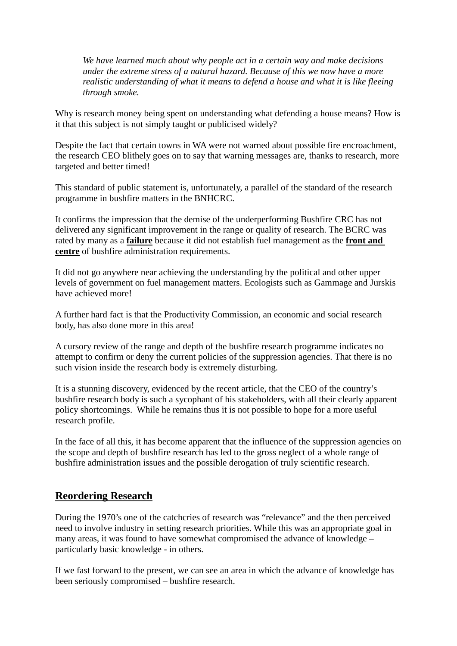*We have learned much about why people act in a certain way and make decisions under the extreme stress of a natural hazard. Because of this we now have a more realistic understanding of what it means to defend a house and what it is like fleeing through smoke.*

Why is research money being spent on understanding what defending a house means? How is it that this subject is not simply taught or publicised widely?

Despite the fact that certain towns in WA were not warned about possible fire encroachment, the research CEO blithely goes on to say that warning messages are, thanks to research, more targeted and better timed!

This standard of public statement is, unfortunately, a parallel of the standard of the research programme in bushfire matters in the BNHCRC.

It confirms the impression that the demise of the underperforming Bushfire CRC has not delivered any significant improvement in the range or quality of research. The BCRC was rated by many as a **failure** because it did not establish fuel management as the **front and centre** of bushfire administration requirements.

It did not go anywhere near achieving the understanding by the political and other upper levels of government on fuel management matters. Ecologists such as Gammage and Jurskis have achieved more!

A further hard fact is that the Productivity Commission, an economic and social research body, has also done more in this area!

A cursory review of the range and depth of the bushfire research programme indicates no attempt to confirm or deny the current policies of the suppression agencies. That there is no such vision inside the research body is extremely disturbing.

It is a stunning discovery, evidenced by the recent article, that the CEO of the country's bushfire research body is such a sycophant of his stakeholders, with all their clearly apparent policy shortcomings. While he remains thus it is not possible to hope for a more useful research profile.

In the face of all this, it has become apparent that the influence of the suppression agencies on the scope and depth of bushfire research has led to the gross neglect of a whole range of bushfire administration issues and the possible derogation of truly scientific research.

#### **Reordering Research**

During the 1970's one of the catchcries of research was "relevance" and the then perceived need to involve industry in setting research priorities. While this was an appropriate goal in many areas, it was found to have somewhat compromised the advance of knowledge – particularly basic knowledge - in others.

If we fast forward to the present, we can see an area in which the advance of knowledge has been seriously compromised – bushfire research.